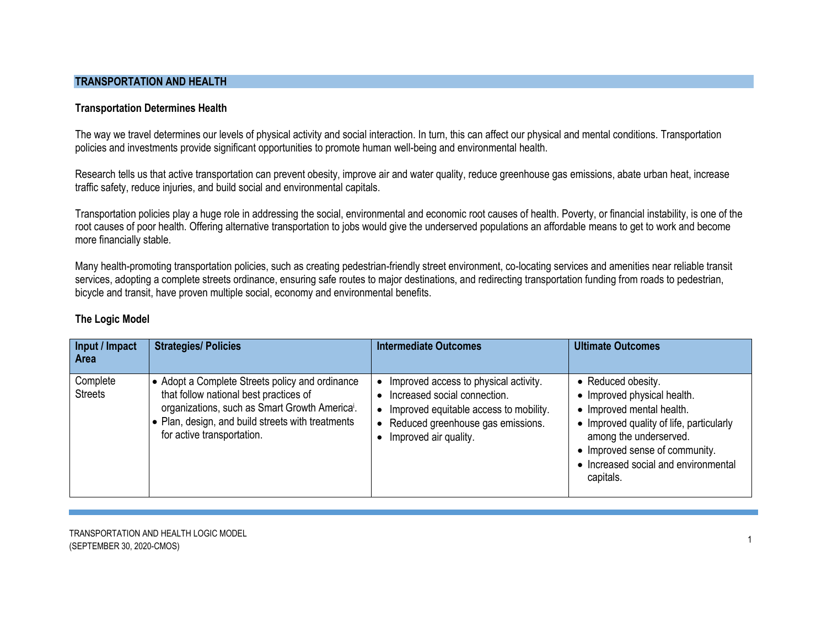## **TRANSPORTATION AND HEALTH**

## **Transportation Determines Health**

The way we travel determines our levels of physical activity and social interaction. In turn, this can affect our physical and mental conditions. Transportation policies and investments provide significant opportunities to promote human well-being and environmental health.

Research tells us that active transportation can prevent obesity, improve air and water quality, reduce greenhouse gas emissions, abate urban heat, increase traffic safety, reduce injuries, and build social and environmental capitals.

Transportation policies play a huge role in addressing the social, environmental and economic root causes of health. Poverty, or financial instability, is one of the root causes of poor health. Offering alternative transportation to jobs would give the underserved populations an affordable means to get to work and become more financially stable.

Many health-promoting transportation policies, such as creating pedestrian-friendly street environment, co-locating services and amenities near reliable transit services, adopting a complete streets ordinance, ensuring safe routes to major destinations, and redirecting transportation funding from roads to pedestrian, bicycle and transit, have proven multiple social, economy and environmental benefits.

| Input / Impact<br><b>Area</b> | <b>Strategies/ Policies</b>                                                                                                                                                                                                                | <b>Intermediate Outcomes</b>                                                                                                                                                                              | <b>Ultimate Outcomes</b>                                                                                                                                                                                                                    |
|-------------------------------|--------------------------------------------------------------------------------------------------------------------------------------------------------------------------------------------------------------------------------------------|-----------------------------------------------------------------------------------------------------------------------------------------------------------------------------------------------------------|---------------------------------------------------------------------------------------------------------------------------------------------------------------------------------------------------------------------------------------------|
| Complete<br><b>Streets</b>    | • Adopt a Complete Streets policy and ordinance<br>that follow national best practices of<br>organizations, such as Smart Growth America <sup>i</sup> .<br>• Plan, design, and build streets with treatments<br>for active transportation. | Improved access to physical activity.<br>• Increased social connection.<br>Improved equitable access to mobility.<br>$\bullet$<br>Reduced greenhouse gas emissions.<br>$\bullet$<br>Improved air quality. | • Reduced obesity.<br>• Improved physical health.<br>• Improved mental health.<br>• Improved quality of life, particularly<br>among the underserved.<br>• Improved sense of community.<br>• Increased social and environmental<br>capitals. |

# **The Logic Model**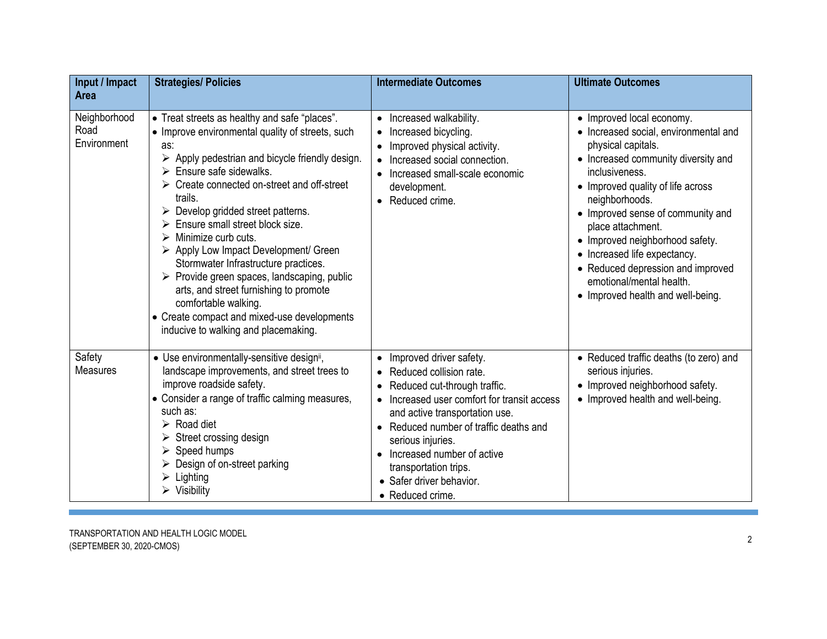| Input / Impact<br><b>Area</b>       | <b>Strategies/ Policies</b>                                                                                                                                                                                                                                                                                                                                                                                                                                                                                                                                                                                                                                             | <b>Intermediate Outcomes</b>                                                                                                                                                                                                                                                                                                                    | <b>Ultimate Outcomes</b>                                                                                                                                                                                                                                                                                                                                                                                                                    |
|-------------------------------------|-------------------------------------------------------------------------------------------------------------------------------------------------------------------------------------------------------------------------------------------------------------------------------------------------------------------------------------------------------------------------------------------------------------------------------------------------------------------------------------------------------------------------------------------------------------------------------------------------------------------------------------------------------------------------|-------------------------------------------------------------------------------------------------------------------------------------------------------------------------------------------------------------------------------------------------------------------------------------------------------------------------------------------------|---------------------------------------------------------------------------------------------------------------------------------------------------------------------------------------------------------------------------------------------------------------------------------------------------------------------------------------------------------------------------------------------------------------------------------------------|
| Neighborhood<br>Road<br>Environment | • Treat streets as healthy and safe "places".<br>• Improve environmental quality of streets, such<br>as:<br>Apply pedestrian and bicycle friendly design.<br>Ensure safe sidewalks.<br>Create connected on-street and off-street<br>trails.<br>$\triangleright$ Develop gridded street patterns.<br>Ensure small street block size.<br>Minimize curb cuts.<br>➤<br>> Apply Low Impact Development/ Green<br>Stormwater Infrastructure practices.<br>$\triangleright$ Provide green spaces, landscaping, public<br>arts, and street furnishing to promote<br>comfortable walking.<br>• Create compact and mixed-use developments<br>inducive to walking and placemaking. | • Increased walkability.<br>• Increased bicycling.<br>• Improved physical activity.<br>• Increased social connection.<br>• Increased small-scale economic<br>development.<br>• Reduced crime.                                                                                                                                                   | • Improved local economy.<br>• Increased social, environmental and<br>physical capitals.<br>• Increased community diversity and<br>inclusiveness.<br>• Improved quality of life across<br>neighborhoods.<br>• Improved sense of community and<br>place attachment.<br>• Improved neighborhood safety.<br>• Increased life expectancy.<br>• Reduced depression and improved<br>emotional/mental health.<br>• Improved health and well-being. |
| Safety<br><b>Measures</b>           | • Use environmentally-sensitive designii,<br>landscape improvements, and street trees to<br>improve roadside safety.<br>• Consider a range of traffic calming measures,<br>such as:<br>$\triangleright$ Road diet<br>Street crossing design<br>$\triangleright$ Speed humps<br>$\triangleright$ Design of on-street parking<br>Lighting<br>$\triangleright$ Visibility                                                                                                                                                                                                                                                                                                  | • Improved driver safety.<br>• Reduced collision rate.<br>• Reduced cut-through traffic.<br>• Increased user comfort for transit access<br>and active transportation use.<br>• Reduced number of traffic deaths and<br>serious injuries.<br>Increased number of active<br>transportation trips.<br>• Safer driver behavior.<br>• Reduced crime. | • Reduced traffic deaths (to zero) and<br>serious injuries.<br>• Improved neighborhood safety.<br>• Improved health and well-being.                                                                                                                                                                                                                                                                                                         |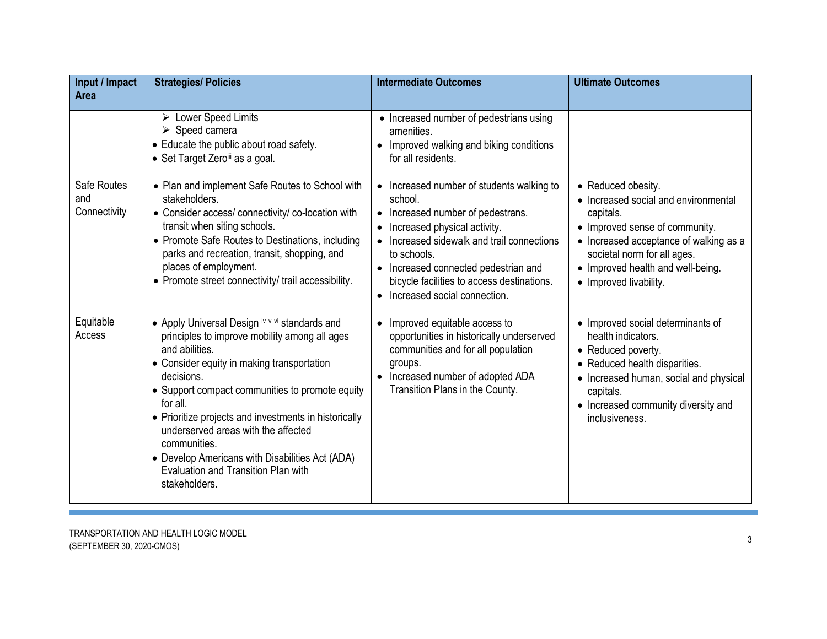| Input / Impact<br><b>Area</b>      | <b>Strategies/ Policies</b>                                                                                                                                                                                                                                                                                                                                                                                                                                             | <b>Intermediate Outcomes</b>                                                                                                                                                                                                                                                                                     | <b>Ultimate Outcomes</b>                                                                                                                                                                                                                          |
|------------------------------------|-------------------------------------------------------------------------------------------------------------------------------------------------------------------------------------------------------------------------------------------------------------------------------------------------------------------------------------------------------------------------------------------------------------------------------------------------------------------------|------------------------------------------------------------------------------------------------------------------------------------------------------------------------------------------------------------------------------------------------------------------------------------------------------------------|---------------------------------------------------------------------------------------------------------------------------------------------------------------------------------------------------------------------------------------------------|
|                                    | $\triangleright$ Lower Speed Limits<br>$\triangleright$ Speed camera<br>• Educate the public about road safety.<br>• Set Target Zeroiii as a goal.                                                                                                                                                                                                                                                                                                                      | • Increased number of pedestrians using<br>amenities.<br>• Improved walking and biking conditions<br>for all residents.                                                                                                                                                                                          |                                                                                                                                                                                                                                                   |
| Safe Routes<br>and<br>Connectivity | • Plan and implement Safe Routes to School with<br>stakeholders.<br>• Consider access/ connectivity/ co-location with<br>transit when siting schools.<br>• Promote Safe Routes to Destinations, including<br>parks and recreation, transit, shopping, and<br>places of employment.<br>• Promote street connectivity/ trail accessibility.                                                                                                                               | • Increased number of students walking to<br>school.<br>• Increased number of pedestrans.<br>• Increased physical activity.<br>• Increased sidewalk and trail connections<br>to schools.<br>• Increased connected pedestrian and<br>bicycle facilities to access destinations.<br>• Increased social connection. | • Reduced obesity.<br>• Increased social and environmental<br>capitals.<br>• Improved sense of community.<br>• Increased acceptance of walking as a<br>societal norm for all ages.<br>• Improved health and well-being.<br>• Improved livability. |
| Equitable<br>Access                | • Apply Universal Design iv v vi standards and<br>principles to improve mobility among all ages<br>and abilities.<br>• Consider equity in making transportation<br>decisions.<br>• Support compact communities to promote equity<br>for all.<br>• Prioritize projects and investments in historically<br>underserved areas with the affected<br>communities.<br>• Develop Americans with Disabilities Act (ADA)<br>Evaluation and Transition Plan with<br>stakeholders. | • Improved equitable access to<br>opportunities in historically underserved<br>communities and for all population<br>groups.<br>• Increased number of adopted ADA<br>Transition Plans in the County.                                                                                                             | • Improved social determinants of<br>health indicators.<br>• Reduced poverty.<br>• Reduced health disparities.<br>• Increased human, social and physical<br>capitals.<br>• Increased community diversity and<br>inclusiveness.                    |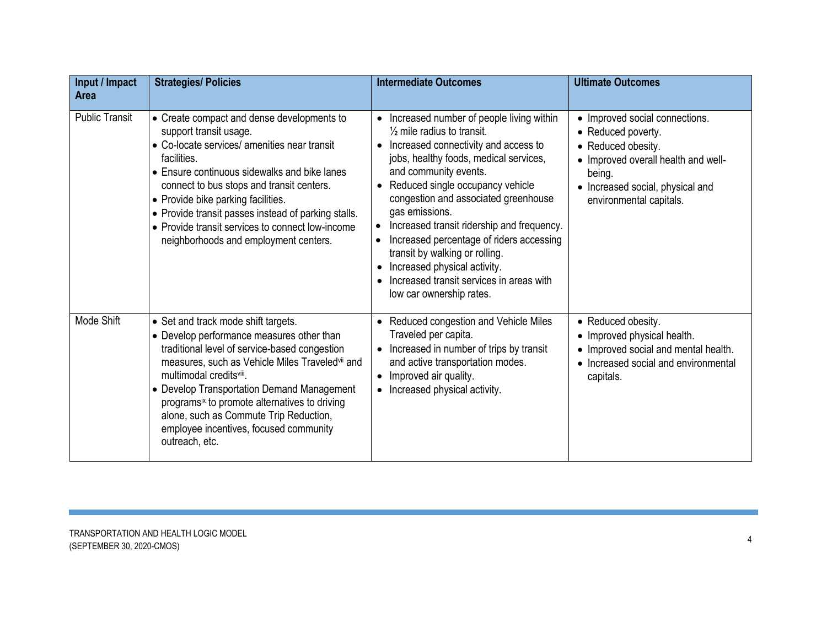| Input / Impact<br><b>Area</b> | <b>Strategies/ Policies</b>                                                                                                                                                                                                                                                                                                                                                                                                      | <b>Intermediate Outcomes</b>                                                                                                                                                                                                                                                                                                                                                                                                                                                                                                                                   | <b>Ultimate Outcomes</b>                                                                                                                                                                   |
|-------------------------------|----------------------------------------------------------------------------------------------------------------------------------------------------------------------------------------------------------------------------------------------------------------------------------------------------------------------------------------------------------------------------------------------------------------------------------|----------------------------------------------------------------------------------------------------------------------------------------------------------------------------------------------------------------------------------------------------------------------------------------------------------------------------------------------------------------------------------------------------------------------------------------------------------------------------------------------------------------------------------------------------------------|--------------------------------------------------------------------------------------------------------------------------------------------------------------------------------------------|
| <b>Public Transit</b>         | • Create compact and dense developments to<br>support transit usage.<br>• Co-locate services/ amenities near transit<br>facilities.<br>• Ensure continuous sidewalks and bike lanes<br>connect to bus stops and transit centers.<br>• Provide bike parking facilities.<br>• Provide transit passes instead of parking stalls.<br>• Provide transit services to connect low-income<br>neighborhoods and employment centers.       | Increased number of people living within<br>$\bullet$<br>$\frac{1}{2}$ mile radius to transit.<br>• Increased connectivity and access to<br>jobs, healthy foods, medical services,<br>and community events.<br>• Reduced single occupancy vehicle<br>congestion and associated greenhouse<br>gas emissions.<br>Increased transit ridership and frequency.<br>$\bullet$<br>Increased percentage of riders accessing<br>transit by walking or rolling.<br>• Increased physical activity.<br>Increased transit services in areas with<br>low car ownership rates. | • Improved social connections.<br>• Reduced poverty.<br>• Reduced obesity.<br>• Improved overall health and well-<br>being.<br>• Increased social, physical and<br>environmental capitals. |
| Mode Shift                    | • Set and track mode shift targets.<br>• Develop performance measures other than<br>traditional level of service-based congestion<br>measures, such as Vehicle Miles Traveledvii and<br>multimodal creditsviii.<br>• Develop Transportation Demand Management<br>programs <sup>ix</sup> to promote alternatives to driving<br>alone, such as Commute Trip Reduction,<br>employee incentives, focused community<br>outreach, etc. | • Reduced congestion and Vehicle Miles<br>Traveled per capita.<br>Increased in number of trips by transit<br>$\bullet$<br>and active transportation modes.<br>• Improved air quality.<br>• Increased physical activity.                                                                                                                                                                                                                                                                                                                                        | • Reduced obesity.<br>• Improved physical health.<br>• Improved social and mental health.<br>• Increased social and environmental<br>capitals.                                             |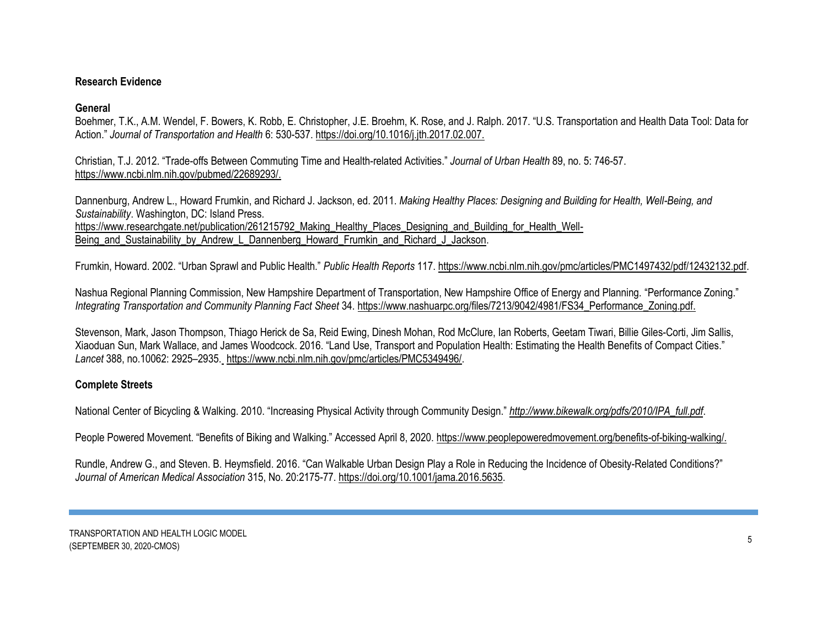# **Research Evidence**

# **General**

Boehmer, T.K., A.M. Wendel, F. Bowers, K. Robb, E. Christopher, J.E. Broehm, K. Rose, and J. Ralph. 2017. "U.S. Transportation and Health Data Tool: Data for Action." *Journal of Transportation and Health* 6: 530-537. [https://doi.org/10.1016/j.jth.2017.02.007.](https://doi.org/10.1016/j.jth.2017.02.007)

Christian, T.J. 2012. "Trade-offs Between Commuting Time and Health-related Activities." *[Journal of Urban Health](https://www.ncbi.nlm.nih.gov/pubmed/22689293/)* 89, no. 5: 746-57. [https://www.ncbi.nlm.nih.gov/pubmed/22689293/.](https://www.ncbi.nlm.nih.gov/pubmed/22689293/)

Dannenburg, Andrew L., Howard Frumkin, and Richard J. Jackson, ed. 2011. *Making Healthy Places: Designing and Building for Health, Well-Being, and Sustainability*. Washington, DC: Island Press. https://www.researchgate.net/publication/261215792 Making Healthy Places Designing and Building for Health Well-Being and Sustainability by Andrew L Dannenberg Howard Frumkin and Richard J Jackson.

Frumkin, Howard. 2002. "Urban Sprawl and Public Health." *Public Health Reports* 117. [https://www.ncbi.nlm.nih.gov/pmc/articles/PMC1497432/pdf/12432132.pdf.](https://www.ncbi.nlm.nih.gov/pmc/articles/PMC1497432/pdf/12432132.pdf)

Nashua Regional Planning Commission, New Hampshire Department of Transportation, New Hampshire Office of Energy and Planning. "Performance Zoning." *Integrating Transportation and Community Planning Fact Sheet* 34. [https://www.nashuarpc.org/files/7213/9042/4981/FS34\\_Performance\\_Zoning.pdf.](https://www.nashuarpc.org/files/7213/9042/4981/FS34_Performance_Zoning.pdf)

Stevenson, Mark, Jason Thompson, Thiago Herick de Sa, Reid Ewing, Dinesh Mohan, Rod McClure, Ian Roberts, Geetam Tiwari, Billie Giles-Corti, Jim Sallis, Xiaoduan Sun, Mark Wallace, and James Woodcock. 2016. "Land Use, Transport and Population Health: Estimating the Health Benefits of Compact Cities." *Lancet* 388, no.10062: 2925–2935. [https://www.ncbi.nlm.nih.gov/pmc/articles/PMC5349496/.](https://www.ncbi.nlm.nih.gov/pmc/articles/PMC5349496/)

# **Complete Streets**

National Center of Bicycling & Walking. 2010. "Increasing Physical Activity through Community Design." *[http://www.bikewalk.org/pdfs/2010/IPA\\_full.pdf](http://www.bikewalk.org/pdfs/2010/IPA_full.pdf)*.

People Powered Movement. "Benefits of Biking and Walking." Accessed April 8, 2020. [https://www.peoplepoweredmovement.org/benefits-of-biking-walking/.](https://www.peoplepoweredmovement.org/benefits-of-biking-walking/)

Rundle, Andrew G., and Steven. B. Heymsfield. 2016. "Can Walkable Urban Design Play a Role in Reducing the Incidence of Obesity-Related Conditions?" *Journal of American Medical Association* 315, No. 20:2175-77. https:/[/doi.org/10.1001/jama.2016.5635.](https://jamanetwork.com/journals/jama/article-abstract/2524165)

TRANSPORTATION AND HEALTH LOGIC MODEL TURNOL SAMANISMAND NEALM ESSED MSBELL 5<br>(SEPTEMBER 30, 2020-CMOS)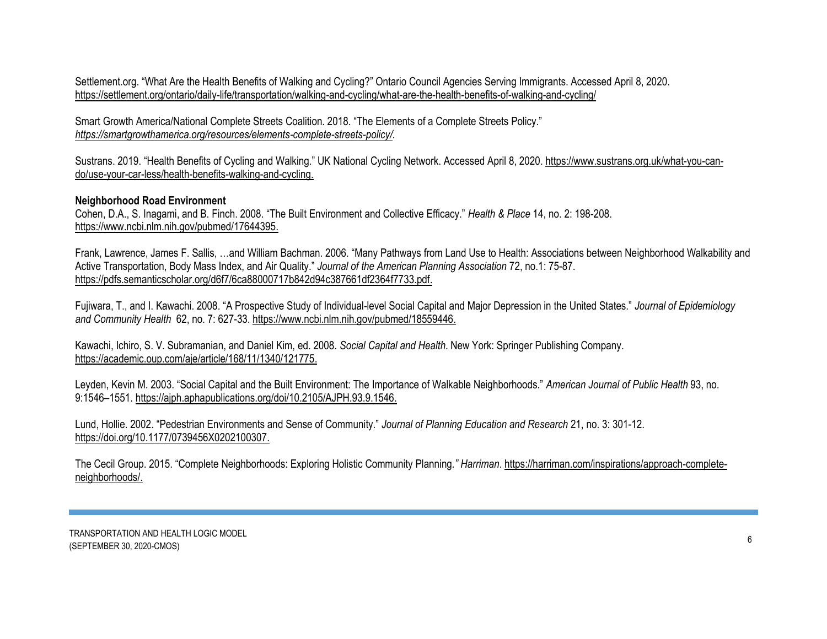Settlement.org. "What Are the Health Benefits of Walking and Cycling?" Ontario Council Agencies Serving Immigrants. Accessed April 8, 2020. <https://settlement.org/ontario/daily-life/transportation/walking-and-cycling/what-are-the-health-benefits-of-walking-and-cycling/>

Smart Growth America/National Complete Streets Coalition. 2018. "The Elements of a Complete Streets Policy." *[https://smartgrowthamerica.org/resources/elements-complete-streets-policy/.](https://smartgrowthamerica.org/resources/elements-complete-streets-policy/)*

Sustrans. 2019. "Health Benefits of Cycling and Walking." UK National Cycling Network. Accessed April 8, 2020. [https://www.sustrans.org.uk/what-you-can](https://www.sustrans.org.uk/what-you-can-do/use-your-car-less/health-benefits-walking-and-cycling)[do/use-your-car-less/health-benefits-walking-and-cycling.](https://www.sustrans.org.uk/what-you-can-do/use-your-car-less/health-benefits-walking-and-cycling)

#### **Neighborhood Road Environment**

Cohen, D.A., S. Inagami, and B. Finch. 2008. "The Built Environment and Collective Efficacy." *Health & Place* 14, no. 2: 198-208. [https://www.ncbi.nlm.nih.gov/pubmed/17644395.](https://www.ncbi.nlm.nih.gov/pubmed/17644395)

Frank, Lawrence, James F. Sallis, …and William Bachman. 2006. "Many Pathways from Land Use to Health: Associations between Neighborhood Walkability and Active Transportation, Body Mass Index, and Air Quality." *Journal of the American Planning Association* 72, no.1: 75-87. [https://pdfs.semanticscholar.org/d6f7/6ca88000717b842d94c387661df2364f7733.pdf.](https://pdfs.semanticscholar.org/d6f7/6ca88000717b842d94c387661df2364f7733.pdf)

Fujiwara, T., and I. Kawachi. 2008. "A Prospective Study of Individual-level Social Capital and Major Depression in the United States." *Journal of Epidemiology and Community Health* 62, no. 7: 627-33. [https://www.ncbi.nlm.nih.gov/pubmed/18559446.](https://www.ncbi.nlm.nih.gov/pubmed/18559446)

Kawachi, Ichiro, S. V. Subramanian, and Daniel Kim, ed. 2008. *Social Capital and Health*. New York: Springer Publishing Company. [https://academic.oup.com/aje/article/168/11/1340/121775.](https://academic.oup.com/aje/article/168/11/1340/121775)

Leyden, Kevin M. 2003. "Social Capital and the Built Environment: The Importance of Walkable Neighborhoods." *American Journal of Public Health* 93, no. 9:1546–1551[. https://ajph.aphapublications.org/doi/10.2105/AJPH.93.9.1546.](https://ajph.aphapublications.org/doi/10.2105/AJPH.93.9.1546)

Lund, Hollie. 2002. "Pedestrian Environments and Sense of Community." *Journal of Planning Education and Research* 21, no. 3: 301-12. [https://doi.org/10.1177/0739456X0202100307.](https://doi.org/10.1177/0739456X0202100307)

The Cecil Group. 2015. "Complete Neighborhoods: Exploring Holistic Community Planning*." Harriman*. [https://harriman.com/inspirations/approach-complete](https://harriman.com/inspirations/approach-complete-neighborhoods/)[neighborhoods/.](https://harriman.com/inspirations/approach-complete-neighborhoods/)

TRANSPORTATION AND HEALTH LOGIC MODEL (SEPTEMBER 30, 2020-CMOS) <sup>6</sup>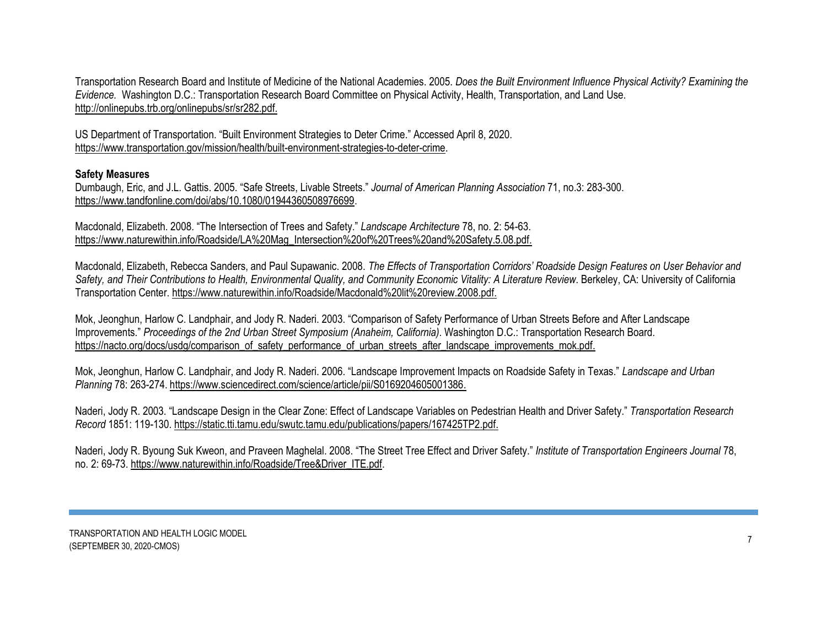Transportation Research Board and Institute of Medicine of the National Academies. 2005. *Does the Built Environment Influence Physical Activity? Examining the Evidence.* Washington D.C.: Transportation Research Board Committee on Physical Activity, Health, Transportation, and Land Use. [http://onlinepubs.trb.org/onlinepubs/sr/sr282.pdf.](http://onlinepubs.trb.org/onlinepubs/sr/sr282.pdf)

US Department of Transportation. "Built Environment Strategies to Deter Crime." Accessed April 8, 2020. [https://www.transportation.gov/mission/health/built-environment-strategies-to-deter-crime.](https://www.transportation.gov/mission/health/built-environment-strategies-to-deter-crime)

## **Safety Measures**

Dumbaugh, Eric, and J.L. Gattis. 2005. "Safe Streets, Livable Streets." *Journal of American Planning Association* 71, no.3: 283-300. [https://www.tandfonline.com/doi/abs/10.1080/01944360508976699.](https://www.tandfonline.com/doi/abs/10.1080/01944360508976699)

Macdonald, Elizabeth. 2008. "The Intersection of Trees and Safety." *Landscape Architecture* 78, no. 2: 54-63. [https://www.naturewithin.info/Roadside/LA%20Mag\\_Intersection%20of%20Trees%20and%20Safety.5.08.pdf.](https://www.naturewithin.info/Roadside/LA%20Mag_Intersection%20of%20Trees%20and%20Safety.5.08.pdf)

Macdonald, Elizabeth, Rebecca Sanders, and Paul Supawanic. 2008. *The Effects of Transportation Corridors' Roadside Design Features on User Behavior and Safety, and Their Contributions to Health, Environmental Quality, and Community Economic Vitality: A Literature Review*. Berkeley, CA: University of California Transportation Center. [https://www.naturewithin.info/Roadside/Macdonald%20lit%20review.2008.pdf.](https://www.naturewithin.info/Roadside/Macdonald%20lit%20review.2008.pdf)

Mok, Jeonghun, Harlow C. Landphair, and Jody R. Naderi. 2003. "Comparison of Safety Performance of Urban Streets Before and After Landscape Improvements." *Proceedings of the 2nd Urban Street Symposium (Anaheim, California)*. Washington D.C.: Transportation Research Board. [https://nacto.org/docs/usdg/comparison\\_of\\_safety\\_performance\\_of\\_urban\\_streets\\_after\\_landscape\\_improvements\\_mok.pdf.](https://nacto.org/docs/usdg/comparison_of_safety_performance_of_urban_streets_after_landscape_improvements_mok.pdf)

Mok, Jeonghun, Harlow C. Landphair, and Jody R. Naderi. 2006. "Landscape Improvement Impacts on Roadside Safety in Texas." *Landscape and Urban Planning* 78: 263-274. [https://www.sciencedirect.com/science/article/pii/S0169204605001386.](https://www.sciencedirect.com/science/article/pii/S0169204605001386)

Naderi, Jody R. 2003. "Landscape Design in the Clear Zone: Effect of Landscape Variables on Pedestrian Health and Driver Safety." *Transportation Research Record* 1851: 119-130. [https://static.tti.tamu.edu/swutc.tamu.edu/publications/papers/167425TP2.pdf.](https://static.tti.tamu.edu/swutc.tamu.edu/publications/papers/167425TP2.pdf)

Naderi, Jody R. Byoung Suk Kweon, and Praveen Maghelal. 2008. "The Street Tree Effect and Driver Safety." *Institute of Transportation Engineers Journal* 78, no. 2: 69-73. [https://www.naturewithin.info/Roadside/Tree&Driver\\_ITE.pdf.](https://www.naturewithin.info/Roadside/Tree&Driver_ITE.pdf)

TRANSPORTATION AND HEALTH LOGIC MODEL (SEPTEMBER 30, 2020-CMOS) 7<br>
(SEPTEMBER 30, 2020-CMOS)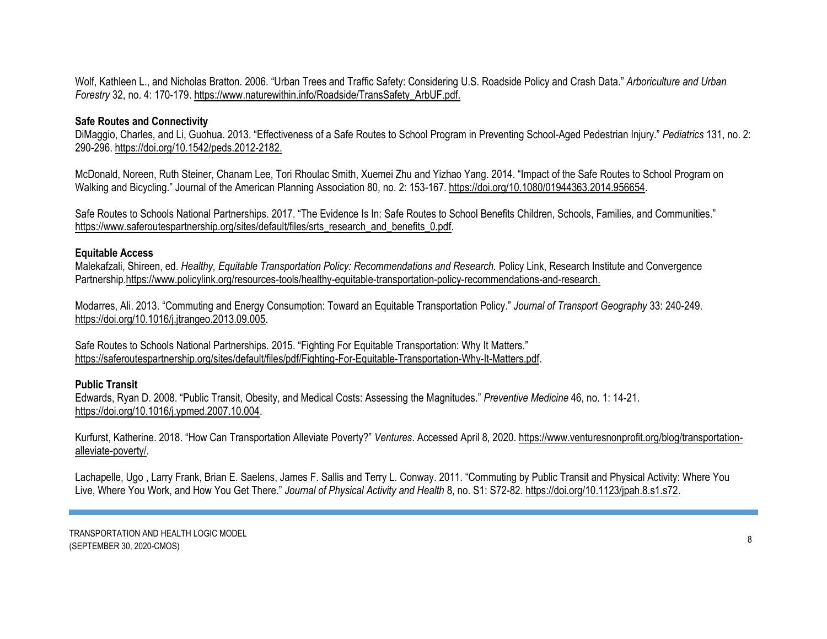Wolf, Kathleen L., and Nicholas Bratton. 2006. "Urban Trees and Traffic Safety: Considering U.S. Roadside Policy and Crash Data." *Arboriculture and Urban Forestry* 32, no. 4: 170-179. [https://www.naturewithin.info/Roadside/TransSafety\\_ArbUF.pdf.](https://www.naturewithin.info/Roadside/TransSafety_ArbUF.pdf)

# **Safe Routes and Connectivity**

DiMaggio, Charles, and Li, Guohua. 2013. "Effectiveness of a Safe Routes to School Program in Preventing School-Aged Pedestrian Injury." *[Pediatrics](https://doi.org/10.1542/peds.2012-2182)* 131, no. 2: 290-296. [https://doi.org/10.1542/peds.2012-2182.](https://doi.org/10.1542/peds.2012-2182)

McDonald, Noreen, Ruth Steiner, Chanam Lee, Tori Rhoulac Smith, Xuemei Zhu and Yizhao Yang. 2014. "Impact of the Safe Routes to School Program on Walking and Bicycling." Journal of the American Planning Association 80, no. 2: 153-167. [https://doi.org/10.1080/01944363.2014.956654.](https://doi.org/10.1080/01944363.2014.956654)

Safe Routes to Schools National Partnerships. 2017. "The Evidence Is In: Safe Routes to School Benefits Children, Schools, Families, and Communities." [https://www.saferoutespartnership.org/sites/default/files/srts\\_research\\_and\\_benefits\\_0.pdf.](https://www.saferoutespartnership.org/sites/default/files/srts_research_and_benefits_0.pdf)

#### **Equitable Access**

Malekafzali, Shireen, ed. *Healthy, Equitable Transportation Policy: Recommendations and Research.* Policy Link, Research Institute and Convergence Partnershi[p.https://www.policylink.org/resources-tools/healthy-equitable-transportation-policy-recommendations-and-research.](https://www.policylink.org/resources-tools/healthy-equitable-transportation-policy-recommendations-and-research)

Modarres, Ali. 2013. "Commuting and Energy Consumption: Toward an Equitable Transportation Policy." *Journal of Transport Geography* 33: 240-249. [https://doi.org/10.1016/j.jtrangeo.2013.09.005.](https://doi.org/10.1016/j.jtrangeo.2013.09.005)

Safe Routes to Schools National Partnerships. 2015. "Fighting For Equitable Transportation: Why It Matters." [https://saferoutespartnership.org/sites/default/files/pdf/Fighting-For-Equitable-Transportation-Why-It-Matters.pdf.](https://saferoutespartnership.org/sites/default/files/pdf/Fighting-For-Equitable-Transportation-Why-It-Matters.pdf)

#### **Public Transit**

Edwards, Ryan D. 2008. "Public Transit, Obesity, and Medical Costs: Assessing the Magnitudes." *Preventive Medicine* 46, no. 1: 14-21. [https://doi.org/10.1016/j.ypmed.2007.10.004.](https://doi.org/10.1016/j.ypmed.2007.10.004)

Kurfurst, Katherine. 2018. "How Can Transportation Alleviate Poverty?" *Ventures*. Accessed April 8, 2020[. https://www.venturesnonprofit.org/blog/transportation](https://www.venturesnonprofit.org/blog/transportation-alleviate-poverty/)[alleviate-poverty/.](https://www.venturesnonprofit.org/blog/transportation-alleviate-poverty/)

Lachapelle, Ugo , Larry Frank, Brian E. Saelens, James F. Sallis and Terry L. Conway. 2011. "Commuting by Public Transit and Physical Activity: Where You Live, Where You Work, and How You Get There." *Journal of Physical Activity and Health* 8, no. S1: S72-82. [https://doi.org/10.1123/jpah.8.s1.s72.](https://doi.org/10.1123/jpah.8.s1.s72)

TRANSPORTATION AND HEALTH LOGIC MODEL (SEPTEMBER 30, 2020-CMOS) <sup>8</sup>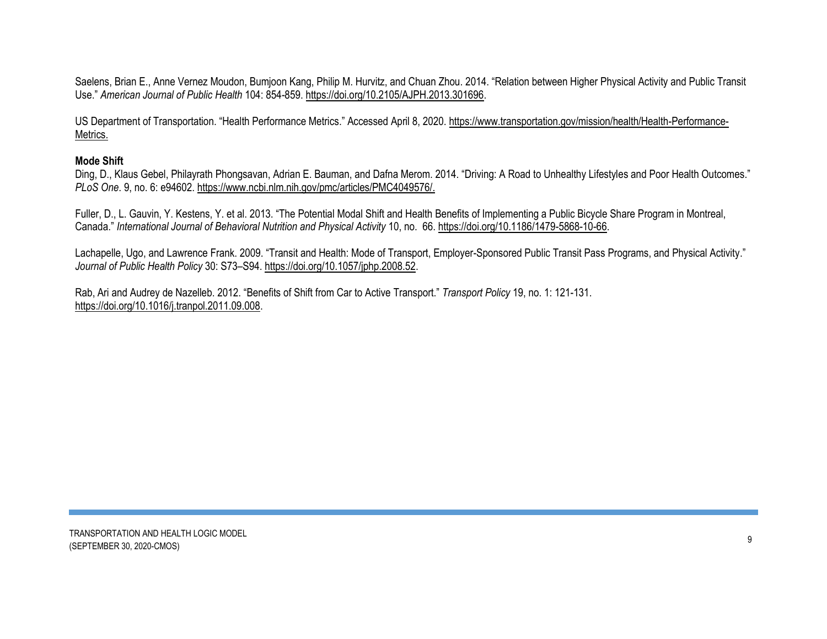Saelens, Brian E., Anne Vernez Moudon, Bumjoon Kang, Philip M. Hurvitz, and Chuan Zhou. 2014. "Relation between Higher Physical Activity and Public Transit Use." *American Journal of Public Health* 104: 854-859. [https://doi.org/10.2105/AJPH.2013.301696.](https://doi.org/10.2105/AJPH.2013.301696)

US Department of Transportation. "Health Performance Metrics." Accessed April 8, 2020. [https://www.transportation.gov/mission/health/Health-Performance-](https://www.transportation.gov/mission/health/Health-Performance-Metrics)[Metrics.](https://www.transportation.gov/mission/health/Health-Performance-Metrics)

#### **Mode Shift**

Ding, D., Klaus Gebel, Philayrath Phongsavan, Adrian E. Bauman, and Dafna Merom. 2014. "Driving: A Road to Unhealthy Lifestyles and Poor Health Outcomes." *[PLoS One](https://www.ncbi.nlm.nih.gov/pmc/articles/PMC4049576/)*. 9, no. 6: e94602. [https://www.ncbi.nlm.nih.gov/pmc/articles/PMC4049576/.](https://www.ncbi.nlm.nih.gov/pmc/articles/PMC4049576/)

Fuller, D., L. Gauvin, Y. Kestens, Y. et al. 2013. "The Potential Modal Shift and Health Benefits of Implementing a Public Bicycle Share Program in Montreal, Canada." *[International Journal of Behavioral Nutrition and Physical Activity](https://link.springer.com/journal/12966)* 10, no. 66. [https://doi.org/10.1186/1479-5868-10-66.](https://doi.org/10.1186/1479-5868-10-66)

Lachapelle, Ugo, and Lawrence Frank. 2009. "Transit and Health: Mode of Transport, Employer-Sponsored Public Transit Pass Programs, and Physical Activity." *Journal of Public Health Policy* 30: S73–S94[. https://doi.org/10.1057/jphp.2008.52.](https://doi.org/10.1057/jphp.2008.52)

Rab, Ari and Audrey de Nazelleb. 2012. "Benefits of Shift from Car to Active Transport." *Transport Policy* 19, no. 1: 121-131. [https://doi.org/10.1016/j.tranpol.2011.09.008.](https://doi.org/10.1016/j.tranpol.2011.09.008)